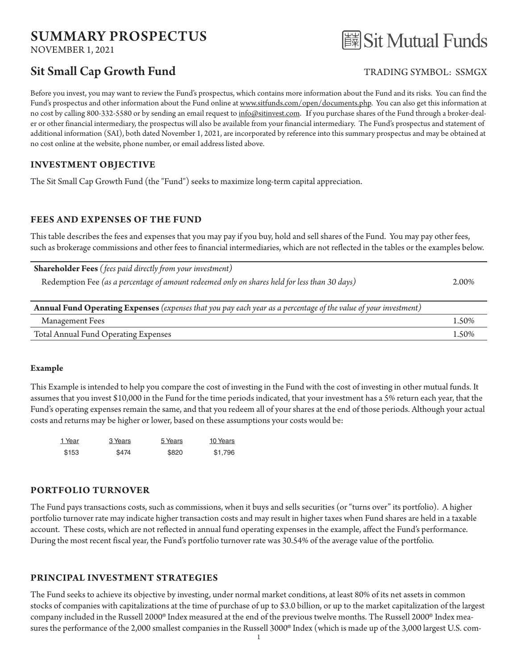# SUMMARY PROSPECTUS

NOVEMBER 1, 2021

# Sit Small Cap Growth Fund TRADING SYMBOL: SSMGX



Before you invest, you may want to review the Fund's prospectus, which contains more information about the Fund and its risks. You can find the Fund's prospectus and other information about the Fund online at www.sitfunds.com/open/documents.php. You can also get this information at no cost by calling 800-332-5580 or by sending an email request to info@sitinvest.com. If you purchase shares of the Fund through a broker-dealer or other financial intermediary, the prospectus will also be available from your financial intermediary. The Fund's prospectus and statement of additional information (SAI), both dated November 1, 2021, are incorporated by reference into this summary prospectus and may be obtained at no cost online at the website, phone number, or email address listed above.

# **INVESTMENT OBJECTIVE**

The Sit Small Cap Growth Fund (the "Fund") seeks to maximize long-term capital appreciation.

# **FEES AND EXPENSES OF THE FUND**

This table describes the fees and expenses that you may pay if you buy, hold and sell shares of the Fund. You may pay other fees, such as brokerage commissions and other fees to financial intermediaries, which are not reflected in the tables or the examples below.

| <b>Shareholder Fees</b> (fees paid directly from your investment)                             |       |
|-----------------------------------------------------------------------------------------------|-------|
| Redemption Fee (as a percentage of amount redeemed only on shares held for less than 30 days) | 2.00% |
|                                                                                               |       |

| Annual Fund Operating Expenses (expenses that you pay each year as a percentage of the value of your investment) |       |  |  |  |
|------------------------------------------------------------------------------------------------------------------|-------|--|--|--|
| Management Fees                                                                                                  | 1.50% |  |  |  |
| Total Annual Fund Operating Expenses                                                                             | 1.50% |  |  |  |

#### **Example**

This Example is intended to help you compare the cost of investing in the Fund with the cost of investing in other mutual funds. It assumes that you invest \$10,000 in the Fund for the time periods indicated, that your investment has a 5% return each year, that the Fund's operating expenses remain the same, and that you redeem all of your shares at the end of those periods. Although your actual costs and returns may be higher or lower, based on these assumptions your costs would be:

| 1 Year | 3 Years | 5 Years | 10 Years |
|--------|---------|---------|----------|
| \$153  | \$474   | \$820   | \$1,796  |

# **PORTFOLIO TURNOVER**

The Fund pays transactions costs, such as commissions, when it buys and sells securities (or "turns over" its portfolio). A higher portfolio turnover rate may indicate higher transaction costs and may result in higher taxes when Fund shares are held in a taxable account. These costs, which are not reflected in annual fund operating expenses in the example, affect the Fund's performance. During the most recent fiscal year, the Fund's portfolio turnover rate was 30.54% of the average value of the portfolio.

# **PRINCIPAL INVESTMENT STRATEGIES**

The Fund seeks to achieve its objective by investing, under normal market conditions, at least 80% of its net assets in common stocks of companies with capitalizations at the time of purchase of up to \$3.0 billion, or up to the market capitalization of the largest company included in the Russell 2000® Index measured at the end of the previous twelve months. The Russell 2000® Index measures the performance of the 2,000 smallest companies in the Russell 3000® Index (which is made up of the 3,000 largest U.S. com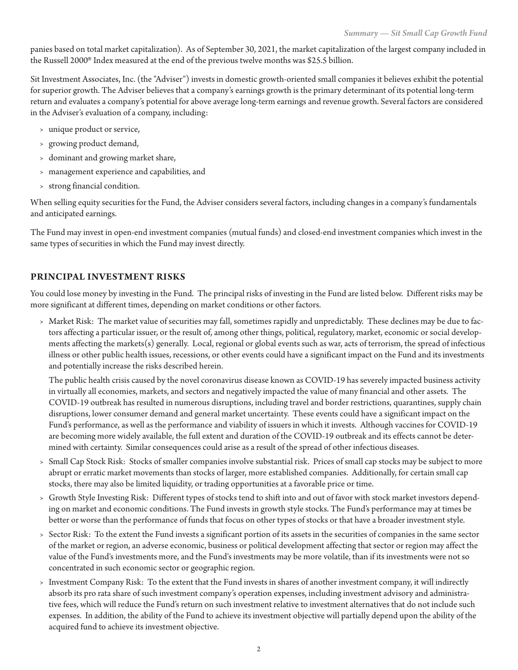panies based on total market capitalization). As of September 30, 2021, the market capitalization of the largest company included in the Russell 2000® Index measured at the end of the previous twelve months was \$25.5 billion.

Sit Investment Associates, Inc. (the "Adviser") invests in domestic growth-oriented small companies it believes exhibit the potential for superior growth. The Adviser believes that a company's earnings growth is the primary determinant of its potential long-term return and evaluates a company's potential for above average long-term earnings and revenue growth. Several factors are considered in the Adviser's evaluation of a company, including:

- › unique product or service,
- › growing product demand,
- › dominant and growing market share,
- › management experience and capabilities, and
- › strong financial condition.

When selling equity securities for the Fund, the Adviser considers several factors, including changes in a company's fundamentals and anticipated earnings.

The Fund may invest in open-end investment companies (mutual funds) and closed-end investment companies which invest in the same types of securities in which the Fund may invest directly.

# **PRINCIPAL INVESTMENT RISKS**

You could lose money by investing in the Fund. The principal risks of investing in the Fund are listed below. Different risks may be more significant at different times, depending on market conditions or other factors.

› Market Risk: The market value of securities may fall, sometimes rapidly and unpredictably. These declines may be due to factors affecting a particular issuer, or the result of, among other things, political, regulatory, market, economic or social developments affecting the markets(s) generally. Local, regional or global events such as war, acts of terrorism, the spread of infectious illness or other public health issues, recessions, or other events could have a significant impact on the Fund and its investments and potentially increase the risks described herein.

The public health crisis caused by the novel coronavirus disease known as COVID-19 has severely impacted business activity in virtually all economies, markets, and sectors and negatively impacted the value of many financial and other assets. The COVID-19 outbreak has resulted in numerous disruptions, including travel and border restrictions, quarantines, supply chain disruptions, lower consumer demand and general market uncertainty. These events could have a significant impact on the Fund's performance, as well as the performance and viability of issuers in which it invests. Although vaccines for COVID-19 are becoming more widely available, the full extent and duration of the COVID-19 outbreak and its effects cannot be determined with certainty. Similar consequences could arise as a result of the spread of other infectious diseases.

- › Small Cap Stock Risk: Stocks of smaller companies involve substantial risk. Prices of small cap stocks may be subject to more abrupt or erratic market movements than stocks of larger, more established companies. Additionally, for certain small cap stocks, there may also be limited liquidity, or trading opportunities at a favorable price or time.
- › Growth Style Investing Risk: Different types of stocks tend to shift into and out of favor with stock market investors depending on market and economic conditions. The Fund invests in growth style stocks. The Fund's performance may at times be better or worse than the performance of funds that focus on other types of stocks or that have a broader investment style.
- › Sector Risk: To the extent the Fund invests a significant portion of its assets in the securities of companies in the same sector of the market or region, an adverse economic, business or political development affecting that sector or region may affect the value of the Fund's investments more, and the Fund's investments may be more volatile, than if its investments were not so concentrated in such economic sector or geographic region.
- › Investment Company Risk: To the extent that the Fund invests in shares of another investment company, it will indirectly absorb its pro rata share of such investment company's operation expenses, including investment advisory and administrative fees, which will reduce the Fund's return on such investment relative to investment alternatives that do not include such expenses. In addition, the ability of the Fund to achieve its investment objective will partially depend upon the ability of the acquired fund to achieve its investment objective.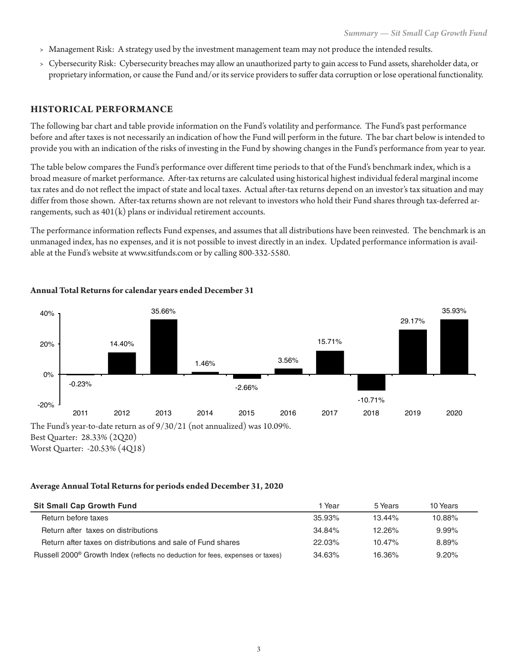- › Management Risk: A strategy used by the investment management team may not produce the intended results.
- › Cybersecurity Risk: Cybersecurity breaches may allow an unauthorized party to gain access to Fund assets, shareholder data, or proprietary information, or cause the Fund and/or its service providers to suffer data corruption or lose operational functionality.

#### **HISTORICAL PERFORMANCE**

The following bar chart and table provide information on the Fund's volatility and performance. The Fund's past performance before and after taxes is not necessarily an indication of how the Fund will perform in the future. The bar chart below is intended to provide you with an indication of the risks of investing in the Fund by showing changes in the Fund's performance from year to year.

The table below compares the Fund's performance over different time periods to that of the Fund's benchmark index, which is a broad measure of market performance. After-tax returns are calculated using historical highest individual federal marginal income tax rates and do not reflect the impact of state and local taxes. Actual after-tax returns depend on an investor's tax situation and may differ from those shown. After-tax returns shown are not relevant to investors who hold their Fund shares through tax-deferred arrangements, such as  $401(k)$  plans or individual retirement accounts.

The performance information reflects Fund expenses, and assumes that all distributions have been reinvested. The benchmark is an unmanaged index, has no expenses, and it is not possible to invest directly in an index. Updated performance information is available at the Fund's website at www.sitfunds.com or by calling 800-332-5580.



#### **Annual Total Returns for calendar years ended December 31**

Best Quarter: 28.33% (2Q20) Worst Quarter: -20.53% (4Q18)

#### **Average Annual Total Returns for periods ended December 31, 2020**

| <b>Sit Small Cap Growth Fund</b>                                                           | 1 Year    | 5 Years   | 10 Years  |
|--------------------------------------------------------------------------------------------|-----------|-----------|-----------|
| Return before taxes                                                                        | $35.93\%$ | $13.44\%$ | $10.88\%$ |
| Return after taxes on distributions                                                        | 34.84%    | $12.26\%$ | $9.99\%$  |
| Return after taxes on distributions and sale of Fund shares                                | 22.03%    | $10.47\%$ | 8.89%     |
| Russell 2000 <sup>®</sup> Growth Index (reflects no deduction for fees, expenses or taxes) | 34.63%    | 16.36%    | 9.20%     |